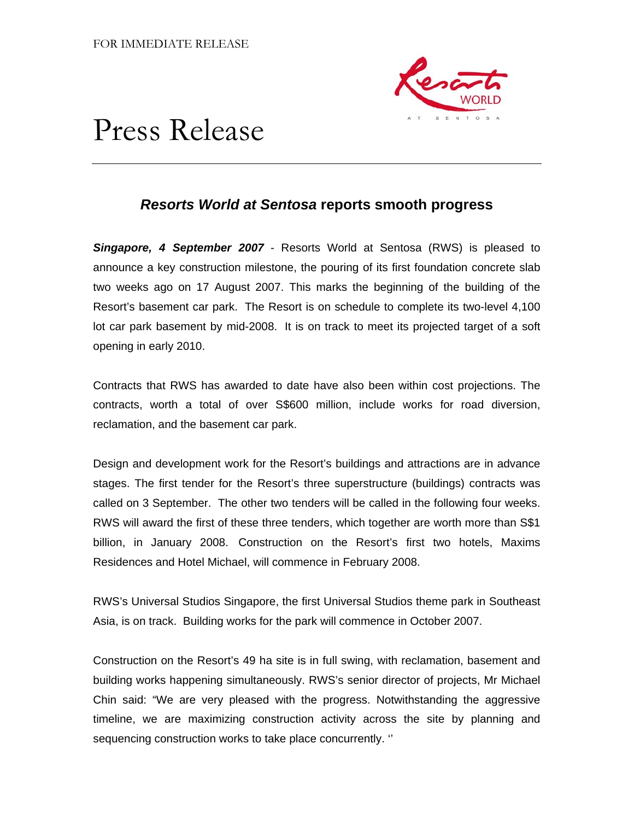

## Press Release

### *Resorts World at Sentosa* **reports smooth progress**

*Singapore, 4 September 2007* - Resorts World at Sentosa (RWS) is pleased to announce a key construction milestone, the pouring of its first foundation concrete slab two weeks ago on 17 August 2007. This marks the beginning of the building of the Resort's basement car park. The Resort is on schedule to complete its two-level 4,100 lot car park basement by mid-2008. It is on track to meet its projected target of a soft opening in early 2010.

Contracts that RWS has awarded to date have also been within cost projections. The contracts, worth a total of over S\$600 million, include works for road diversion, reclamation, and the basement car park.

Design and development work for the Resort's buildings and attractions are in advance stages. The first tender for the Resort's three superstructure (buildings) contracts was called on 3 September. The other two tenders will be called in the following four weeks. RWS will award the first of these three tenders, which together are worth more than S\$1 billion, in January 2008. Construction on the Resort's first two hotels, Maxims Residences and Hotel Michael, will commence in February 2008.

RWS's Universal Studios Singapore, the first Universal Studios theme park in Southeast Asia, is on track. Building works for the park will commence in October 2007.

Construction on the Resort's 49 ha site is in full swing, with reclamation, basement and building works happening simultaneously. RWS's senior director of projects, Mr Michael Chin said: "We are very pleased with the progress. Notwithstanding the aggressive timeline, we are maximizing construction activity across the site by planning and sequencing construction works to take place concurrently. ''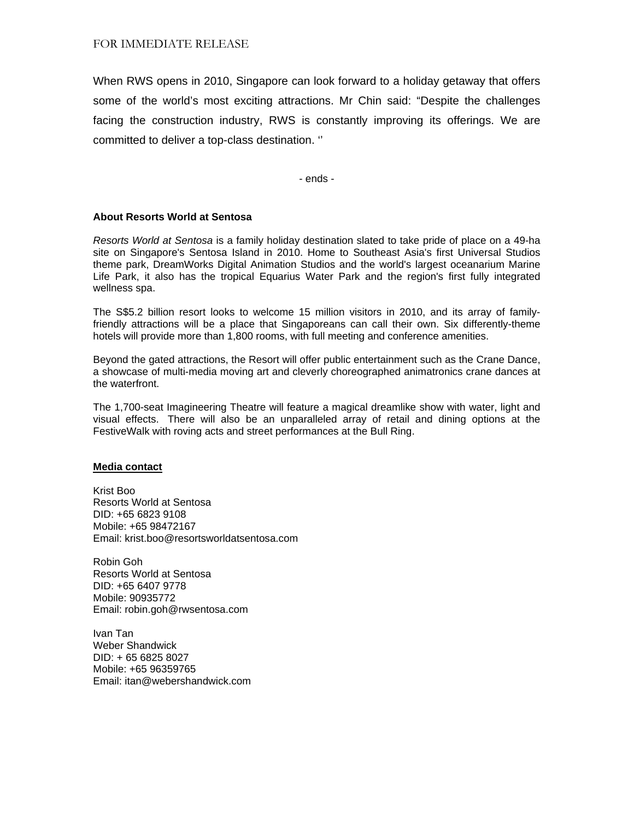When RWS opens in 2010, Singapore can look forward to a holiday getaway that offers some of the world's most exciting attractions. Mr Chin said: "Despite the challenges facing the construction industry, RWS is constantly improving its offerings. We are committed to deliver a top-class destination. ''

- ends -

#### **About Resorts World at Sentosa**

*Resorts World at Sentosa* is a family holiday destination slated to take pride of place on a 49-ha site on Singapore's Sentosa Island in 2010. Home to Southeast Asia's first Universal Studios theme park, DreamWorks Digital Animation Studios and the world's largest oceanarium Marine Life Park, it also has the tropical Equarius Water Park and the region's first fully integrated wellness spa.

The S\$5.2 billion resort looks to welcome 15 million visitors in 2010, and its array of familyfriendly attractions will be a place that Singaporeans can call their own. Six differently-theme hotels will provide more than 1,800 rooms, with full meeting and conference amenities.

Beyond the gated attractions, the Resort will offer public entertainment such as the Crane Dance, a showcase of multi-media moving art and cleverly choreographed animatronics crane dances at the waterfront.

The 1,700-seat Imagineering Theatre will feature a magical dreamlike show with water, light and visual effects. There will also be an unparalleled array of retail and dining options at the FestiveWalk with roving acts and street performances at the Bull Ring.

#### **Media contact**

Krist Boo Resorts World at Sentosa DID: +65 6823 9108 Mobile: +65 98472167 Email: krist.boo@resortsworldatsentosa.com

Robin Goh Resorts World at Sentosa DID: +65 6407 9778 Mobile: 90935772 Email: robin.goh@rwsentosa.com

Ivan Tan Weber Shandwick DID: + 65 6825 8027 Mobile: +65 96359765 Email: itan@webershandwick.com